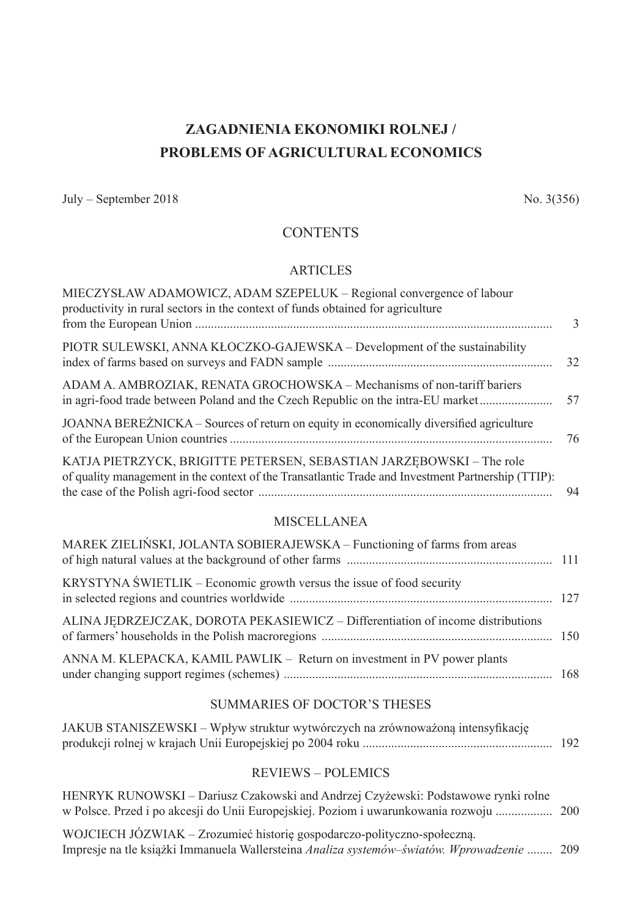# **ZAGADNIENIA EKONOMIKI ROLNEJ / PROBLEMS OF AGRICULTURAL ECONOMICS**

July – September 2018  $\sim$  No. 3(356)

# **CONTENTS**

### ARTICLES

| MIECZYSŁAW ADAMOWICZ, ADAM SZEPELUK – Regional convergence of labour<br>productivity in rural sectors in the context of funds obtained for agriculture                     | $\overline{3}$ |
|----------------------------------------------------------------------------------------------------------------------------------------------------------------------------|----------------|
| PIOTR SULEWSKI, ANNA KŁOCZKO-GAJEWSKA – Development of the sustainability                                                                                                  | 32             |
| ADAM A. AMBROZIAK, RENATA GROCHOWSKA - Mechanisms of non-tariff bariers<br>in agri-food trade between Poland and the Czech Republic on the intra-EU market                 | 57             |
| JOANNA BEREZNICKA – Sources of return on equity in economically diversified agriculture                                                                                    | -76            |
| KATJA PIETRZYCK, BRIGITTE PETERSEN, SEBASTIAN JARZEBOWSKI - The role<br>of quality management in the context of the Transatlantic Trade and Investment Partnership (TTIP): | 94             |

#### MISCELLANEA

| MAREK ZIELIŃSKI, JOLANTA SOBIERAJEWSKA – Functioning of farms from areas        |  |
|---------------------------------------------------------------------------------|--|
| KRYSTYNA ŚWIETLIK – Economic growth versus the issue of food security           |  |
| ALINA JEDRZEJCZAK, DOROTA PEKASIEWICZ - Differentiation of income distributions |  |
| ANNA M. KLEPACKA, KAMIL PAWLIK – Return on investment in PV power plants        |  |

## SUMMARIES OF DOCTOR'S THESES

| JAKUB STANISZEWSKI – Wpływ struktur wytwórczych na zrównoważoną intensyfikację |  |
|--------------------------------------------------------------------------------|--|
|                                                                                |  |

## REVIEWS – POLEMICS

| HENRYK RUNOWSKI – Dariusz Czakowski and Andrzej Czyżewski: Podstawowe rynki rolne          |  |
|--------------------------------------------------------------------------------------------|--|
|                                                                                            |  |
| WOJCIECH JÓZWIAK – Zrozumieć historię gospodarczo-polityczno-społeczną.                    |  |
| Impresje na tle książki Immanuela Wallersteina Analiza systemów-światów. Wprowadzenie  209 |  |